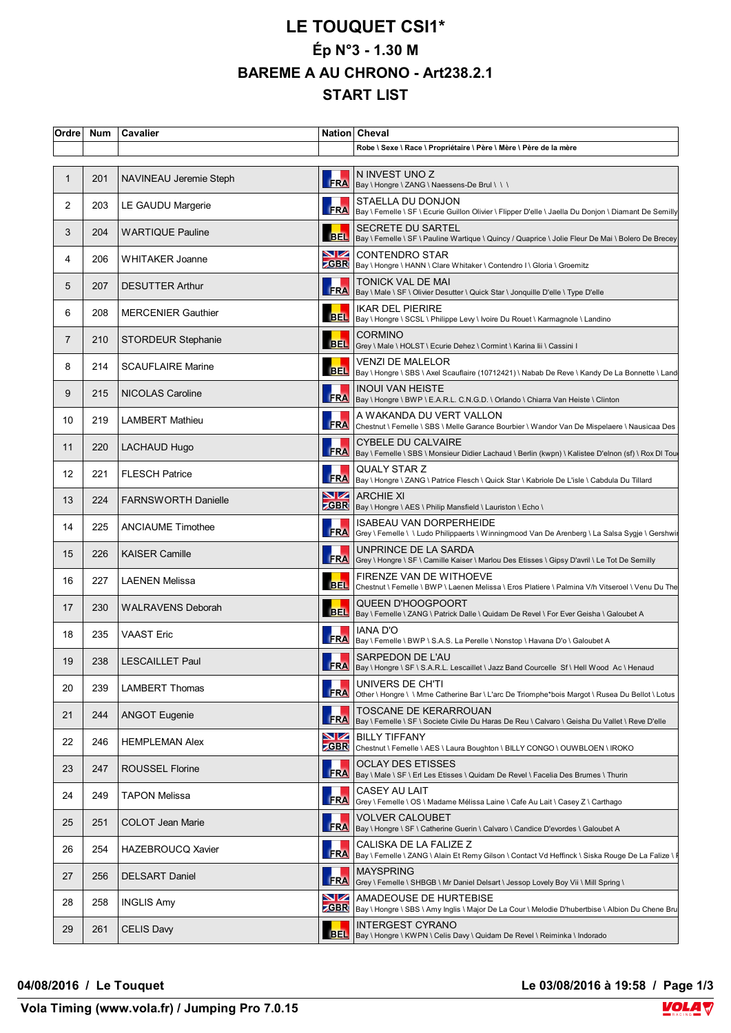## **LE TOUQUET CSI1\* Ép N°3 - 1.30 M BAREME A AU CHRONO - Art238.2.1 START LIST**

|                | Ordre Num | Cavalier                   |            | Nation Cheval                                                                                                                          |
|----------------|-----------|----------------------------|------------|----------------------------------------------------------------------------------------------------------------------------------------|
|                |           |                            |            | Robe \ Sexe \ Race \ Propriétaire \ Père \ Mère \ Père de la mère                                                                      |
| 1              | 201       | NAVINEAU Jeremie Steph     | <b>FRA</b> | N INVEST UNO Z<br>Bay \ Hongre \ ZANG \ Naessens-De Brul \ \ \                                                                         |
| 2              | 203       | LE GAUDU Margerie          |            | STAELLA DU DONJON<br>FRA   Bay \ Femelle \ SF \ Ecurie Guillon Olivier \ Flipper D'elle \ Jaella Du Donjon \ Diamant De Semilly        |
| 3              | 204       | <b>WARTIQUE Pauline</b>    |            | SECRETE DU SARTEL<br>BEL  Bay \ Femelle \ SF \ Pauline Wartique \ Quincy / Quaprice \ Jolie Fleur De Mai \ Bolero De Brecey            |
| 4              | 206       | <b>WHITAKER Joanne</b>     | VZ         | CONTENDRO STAR<br>CGBR   Bay \ Hongre \ HANN \ Clare Whitaker \ Contendro I \ Gloria \ Groemitz                                        |
| 5              | 207       | <b>DESUTTER Arthur</b>     |            | TONICK VAL DE MAI<br>FRA   Bay \ Male \ SF \ Olivier Desutter \ Quick Star \ Jonquille D'elle \ Type D'elle                            |
| 6              | 208       | <b>MERCENIER Gauthier</b>  |            | IKAR DEL PIERIRE<br>BEL  Bay \ Hongre \ SCSL \ Philippe Levy \ Ivoire Du Rouet \ Karmagnole \ Landino                                  |
| $\overline{7}$ | 210       | <b>STORDEUR Stephanie</b>  | <b>BEL</b> | <b>CORMINO</b><br>Grey \ Male \ HOLST \ Ecurie Dehez \ Cormint \ Karina lii \ Cassini I                                                |
| 8              | 214       | <b>SCAUFLAIRE Marine</b>   |            | <b>VENZI DE MALELOR</b><br>BEL   Bay \ Hongre \ SBS \ Axel Scauflaire (10712421) \ Nabab De Reve \ Kandy De La Bonnette \ Land         |
| 9              | 215       | NICOLAS Caroline           | <b>FRA</b> | INOUI VAN HEISTE<br>Bay \ Hongre \ BWP \ E.A.R.L. C.N.G.D. \ Orlando \ Chiarra Van Heiste \ Clinton                                    |
| 10             | 219       | <b>LAMBERT Mathieu</b>     | <b>FRA</b> | A WAKANDA DU VERT VALLON<br>Chestnut \ Femelle \ SBS \ Melle Garance Bourbier \ Wandor Van De Mispelaere \ Nausicaa Des                |
| 11             | 220       | <b>LACHAUD Hugo</b>        |            | <b>CYBELE DU CALVAIRE</b><br>FRA   Bay \ Femelle \ SBS \ Monsieur Didier Lachaud \ Berlin (kwpn) \ Kalistee D'elnon (sf) \ Rox DI Tou  |
| 12             | 221       | <b>FLESCH Patrice</b>      |            | QUALY STAR Z<br>     QUALY SIAK Z<br> FRA  Bay \ Hongre \ ZANG \ Patrice Flesch \ Quick Star \ Kabriole De L'isle \ Cabdula Du Tillard |
| 13             | 224       | <b>FARNSWORTH Danielle</b> |            | <b>NZ</b> ARCHIE XI<br><b>CBR</b> Bay \ Hongre \ AES \ Philip Mansfield \ Lauriston \ Echo \                                           |
| 14             | 225       | <b>ANCIAUME Timothee</b>   | FRA        | ISABEAU VAN DORPERHEIDE<br>Grey \ Femelle \ \ Ludo Philippaerts \ Winningmood Van De Arenberg \ La Salsa Sygje \ Gershwir              |
| 15             | 226       | <b>KAISER Camille</b>      | FRA        | UNPRINCE DE LA SARDA<br>Grey \ Hongre \ SF \ Camille Kaiser \ Marlou Des Etisses \ Gipsy D'avril \ Le Tot De Semilly                   |
| 16             | 227       | <b>LAENEN Melissa</b>      | <b>BEL</b> | FIRENZE VAN DE WITHOEVE<br>Chestnut \ Femelle \ BWP \ Laenen Melissa \ Eros Platiere \ Palmina V/h Vitseroel \ Venu Du The             |
| 17             | 230       | <b>WALRAVENS Deborah</b>   |            | QUEEN D'HOOGPOORT<br>BEL   Bay \ Femelle \ ZANG \ Patrick Dalle \ Quidam De Revel \ For Ever Geisha \ Galoubet A                       |
| 18             | 235       | <b>VAAST Eric</b>          | <b>FRA</b> | IANA D'O<br>Bay \ Femelle \ BWP \ S.A.S. La Perelle \ Nonstop \ Havana D'o \ Galoubet A                                                |
| 19             | 238       | <b>LESCAILLET Paul</b>     |            | SARPEDON DE L'AU<br>FRA  Bay \ Hongre \ SF \ S.A.R.L. Lescaillet \ Jazz Band Courcelle Sf \ Hell Wood Ac \ Henaud                      |
| 20             | 239       | LAMBERT Thomas             | <b>FRA</b> | UNIVERS DE CH'TI<br>Other \ Hongre \ \ Mme Catherine Bar \ L'arc De Triomphe*bois Margot \ Rusea Du Bellot \ Lotus                     |
| 21             | 244       | <b>ANGOT Eugenie</b>       | <b>FRA</b> | TOSCANE DE KERARROUAN<br>Bay \ Femelle \ SF \ Societe Civile Du Haras De Reu \ Calvaro \ Geisha Du Vallet \ Reve D'elle                |
| 22             | 246       | <b>HEMPLEMAN Alex</b>      | VZ         | <b>BILLY TIFFANY</b><br>ZGBR   Chestnut \ Femelle \ AES \ Laura Boughton \ BILLY CONGO \ OUWBLOEN \ IROKO                              |
| 23             | 247       | <b>ROUSSEL Florine</b>     | <b>FRA</b> | OCLAY DES ETISSES<br>Bay \ Male \ SF \ Erl Les Etisses \ Quidam De Revel \ Facelia Des Brumes \ Thurin                                 |
| 24             | 249       | TAPON Melissa              | <b>FRA</b> | CASEY AU LAIT<br>Grey \ Femelle \ OS \ Madame Mélissa Laine \ Cafe Au Lait \ Casey Z \ Carthago                                        |
| 25             | 251       | <b>COLOT Jean Marie</b>    | <b>FRA</b> | VOLVER CALOUBET<br> Bay \ Hongre \ SF \ Catherine Guerin \ Calvaro \ Candice D'evordes \ Galoubet A                                    |
| 26             | 254       | HAZEBROUCQ Xavier          |            | CALISKA DE LA FALIZE Z<br>FRA   Bay \ Femelle \ ZANG \ Alain Et Remy Gilson \ Contact Vd Heffinck \ Siska Rouge De La Falize \ I       |
| 27             | 256       | <b>DELSART Daniel</b>      | <b>FRA</b> | <b>MAYSPRING</b><br>Grey \ Femelle \ SHBGB \ Mr Daniel Delsart \ Jessop Lovely Boy Vii \ Mill Spring \                                 |
| 28             | 258       | <b>INGLIS Amy</b>          | VZ         | AMADEOUSE DE HURTEBISE<br>ZGBR   Bay \ Hongre \ SBS \ Amy Inglis \ Major De La Cour \ Melodie D'hubertbise \ Albion Du Chene Bru       |
| 29             | 261       | <b>CELIS Davy</b>          | <b>BEL</b> | INTERGEST CYRANO<br>Bay \ Hongre \ KWPN \ Celis Davy \ Quidam De Revel \ Reiminka \ Indorado                                           |

**04/08/2016 / Le Touquet Le 03/08/2016 à 19:58 / Page 1/3**



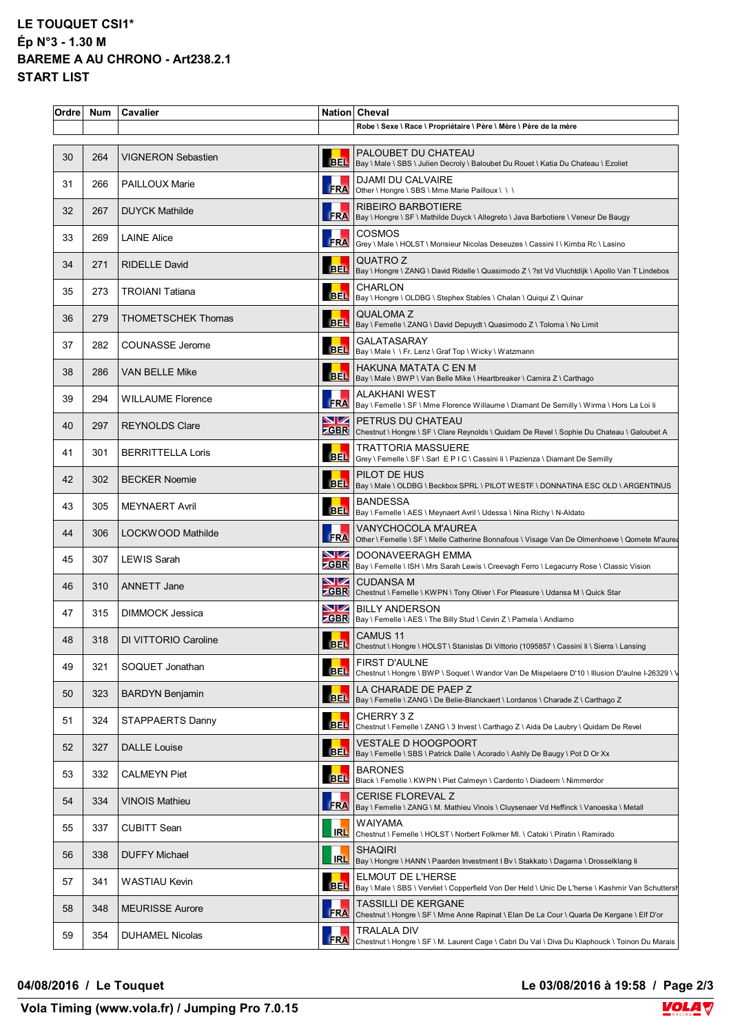## **LE TOUQUET CSI1\* Ép N°3 - 1.30 M BAREME A AU CHRONO - Art238.2.1 START LIST**

| Ordre | <b>Num</b> | Cavalier                  |             | Nation Cheval                                                                                                                  |
|-------|------------|---------------------------|-------------|--------------------------------------------------------------------------------------------------------------------------------|
|       |            |                           |             | Robe \ Sexe \ Race \ Propriétaire \ Père \ Mère \ Père de la mère                                                              |
| 30    | 264        | <b>VIGNERON Sebastien</b> | <b>BELI</b> | PALOUBET DU CHATEAU<br>Bay \ Male \ SBS \ Julien Decroly \ Baloubet Du Rouet \ Katia Du Chateau \ Ezoliet                      |
| 31    | 266        | <b>PAILLOUX Marie</b>     |             | <b>DJAMI DU CALVAIRE</b><br>FRA Other \ Hongre \ SBS \ Mme Marie Pailloux \ \ \                                                |
| 32    | 267        | <b>DUYCK Mathilde</b>     |             | RIBEIRO BARBOTIERE<br>FRA Bay \ Hongre \ SF \ Mathilde Duyck \ Allegreto \ Java Barbotiere \ Veneur De Baugy                   |
| 33    | 269        | <b>LAINE Alice</b>        |             | <b>COSMOS</b><br>FRA Grey \ Male \ HOLST \ Monsieur Nicolas Deseuzes \ Cassini   \ Kimba Rc \ Lasino                           |
| 34    | 271        | <b>RIDELLE David</b>      |             | QUATRO Z<br>BEL   Bay \ Hongre \ ZANG \ David Ridelle \ Quasimodo Z \ ?st Vd Vluchtdijk \ Apollo Van T Lindebos                |
| 35    | 273        | <b>TROIANI Tatiana</b>    | <b>BEL</b>  | <b>CHARLON</b><br>Bay \ Hongre \ OLDBG \ Stephex Stables \ Chalan \ Quiqui Z \ Quinar                                          |
| 36    | 279        | THOMETSCHEK Thomas        |             | <b>QUALOMAZ</b><br>BEL   Bay \ Femelle \ ZANG \ David Depuydt \ Quasimodo Z \ Toloma \ No Limit                                |
| 37    | 282        | <b>COUNASSE Jerome</b>    |             | <b>GALATASARAY</b><br>BEL Bay \ Male \ \ Fr. Lenz \ Graf Top \ Wicky \ Watzmann                                                |
| 38    | 286        | <b>VAN BELLE Mike</b>     |             | HAKUNA MATATA C EN M<br>BEL   Bay \ Male \ BWP \ Van Belle Mike \ Heartbreaker \ Camira Z \ Carthago                           |
| 39    | 294        | <b>WILLAUME Florence</b>  |             | <b>ALAKHANI WEST</b><br>FRA Bay \ Femelle \ SF \ Mme Florence Willaume \ Diamant De Semilly \ Wirma \ Hors La Loi li           |
| 40    | 297        | <b>REYNOLDS Clare</b>     |             | <b>NZ PETRUS DU CHATEAU</b><br>ZGBR Chestnut \ Hongre \ SF \ Clare Reynolds \ Quidam De Revel \ Sophie Du Chateau \ Galoubet A |
| 41    | 301        | <b>BERRITTELLA Loris</b>  |             | TRATTORIA MASSUERE<br>BEL Grey \ Femelle \ SF \ Sarl E P I C \ Cassini Ii \ Pazienza \ Diamant De Semilly                      |
| 42    | 302        | <b>BECKER Noemie</b>      |             | PILOT DE HUS<br><b>BEL</b>  Bay \ Male \ OLDBG \ Beckbox SPRL \ PILOT WESTF \ DONNATINA ESC OLD \ ARGENTINUS                   |
| 43    | 305        | <b>MEYNAERT Avril</b>     |             | <b>BANDESSA</b><br>BEL   Bay \ Femelle \ AES \ Meynaert Avril \ Udessa \ Nina Richy \ N-Aldato                                 |
| 44    | 306        | LOCKWOOD Mathilde         | <b>FRA</b>  | VANYCHOCOLA M'AUREA<br>Other \ Femelle \ SF \ Melle Catherine Bonnafous \ Visage Van De Olmenhoeve \ Qomete M'aurea            |
| 45    | 307        | <b>LEWIS Sarah</b>        | VZ          | DOONAVEERAGH EMMA<br>ZGBR   Bay \ Femelle \ ISH \ Mrs Sarah Lewis \ Creevagh Ferro \ Legacurry Rose \ Classic Vision           |
| 46    | 310        | <b>ANNETT Jane</b>        |             | <b>NZ</b> CUDANSA M<br><b>ZGBR</b> Chestnut \ Femelle \ KWPN \ Tony Oliver \ For Pleasure \ Udansa M \ Quick Star              |
| 47    | 315        | DIMMOCK Jessica           |             | <b>NZ</b> BILLY ANDERSON<br><b>CBR</b> Bay \ Femelle \ AES \ The Billy Stud \ Cevin Z \ Pamela \ Andiamo                       |
| 48    | 318        | DI VITTORIO Caroline      |             | CAMUS 11<br>BEL Chestnut \ Hongre \ HOLST \ Stanislas Di Vittorio (1095857 \ Cassini Ii \ Sierra \ Lansing                     |
| 49    | 321        | SOQUET Jonathan           | <b>BEL</b>  | FIRST D'AULNE<br>Chestnut \ Hongre \ BWP \ Soquet \ Wandor Van De Mispelaere D'10 \ Illusion D'aulne I-26329 \ \               |
| 50    | 323        | <b>BARDYN Benjamin</b>    |             | LA CHARADE DE PAEP Z<br>BEL   Bay \ Femelle \ ZANG \ De Belie-Blanckaert \ Lordanos \ Charade Z \ Carthago Z                   |
| 51    | 324        | STAPPAERTS Danny          |             | CHERRY 3 Z<br>BEL Chestnut \ Femelle \ ZANG \ 3 Invest \ Carthago Z \ Aida De Laubry \ Quidam De Revel                         |
| 52    | 327        | <b>DALLE Louise</b>       | <b>BEL</b>  | <b>VESTALE D HOOGPOORT</b><br>Bay \ Femelle \ SBS \ Patrick Dalle \ Acorado \ Ashly De Baugy \ Pot D Or Xx                     |
| 53    | 332        | <b>CALMEYN Piet</b>       |             | <b>BARONES</b><br>BEL   Black \ Femelle \ KWPN \ Piet Calmeyn \ Cardento \ Diadeem \ Nimmerdor                                 |
| 54    | 334        | VINOIS Mathieu            | <b>FRA</b>  | <b>CERISE FLOREVAL Z</b><br>Bay \ Femelle \ ZANG \ M. Mathieu Vinois \ Cluysenaer Vd Heffinck \ Vanoeska \ Metall              |
| 55    | 337        | CUBITT Sean               | <b>IRL</b>  | WAIYAMA<br>Chestnut \ Femelle \ HOLST \ Norbert Folkmer MI. \ Catoki \ Piratin \ Ramirado                                      |
| 56    | 338        | <b>DUFFY Michael</b>      | <b>IRL</b>  | <b>SHAQIRI</b><br> Bay \ Hongre \ HANN \ Paarden Investment I Bv \ Stakkato \ Dagama \ Drosselklang li                         |
| 57    | 341        | WASTIAU Kevin             |             | ELMOUT DE L'HERSE<br>BEL Bay \ Male \ SBS \ Vervliet \ Copperfield Von Der Held \ Unic De L'herse \ Kashmir Van Schuttersh     |
| 58    | 348        | <b>MEURISSE Aurore</b>    | <b>FRA</b>  | <b>TASSILLI DE KERGANE</b><br>Chestnut \ Hongre \ SF \ Mme Anne Rapinat \ Elan De La Cour \ Quarla De Kergane \ Elf D'or       |
| 59    | 354        | <b>DUHAMEL Nicolas</b>    | <b>FRA</b>  | TRALALA DIV<br>Chestnut \ Hongre \ SF \ M. Laurent Cage \ Cabri Du Val \ Diva Du Klaphouck \ Toinon Du Marais                  |
|       |            |                           |             |                                                                                                                                |

## **04/08/2016 / Le Touquet Le 03/08/2016 à 19:58 / Page 2/3**